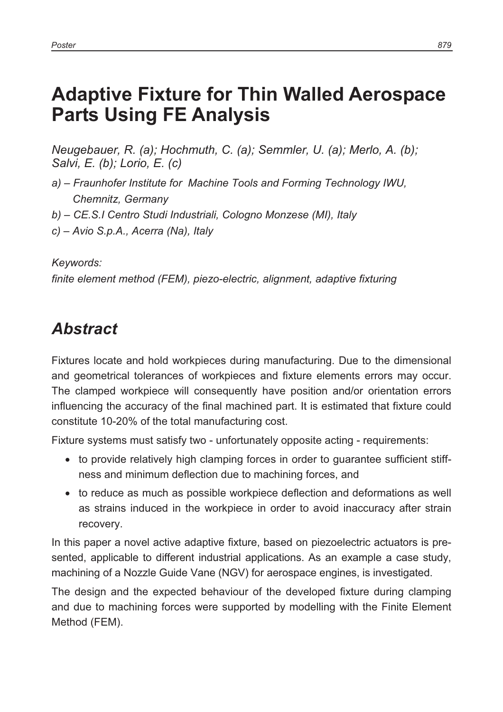# **Adaptive Fixture for Thin Walled Aerospace Parts Using FE Analysis**

*Neugebauer, R. (a); Hochmuth, C. (a); Semmler, U. (a); Merlo, A. (b); Salvi, E. (b); Lorio, E. (c)* 

- *a) Fraunhofer Institute for Machine Tools and Forming Technology IWU, Chemnitz, Germany*
- *b) CE.S.I Centro Studi Industriali, Cologno Monzese (MI), Italy*
- *c) Avio S.p.A., Acerra (Na), Italy*

#### *Keywords:*

*finite element method (FEM), piezo-electric, alignment, adaptive fixturing* 

## *Abstract*

Fixtures locate and hold workpieces during manufacturing. Due to the dimensional and geometrical tolerances of workpieces and fixture elements errors may occur. The clamped workpiece will consequently have position and/or orientation errors influencing the accuracy of the final machined part. It is estimated that fixture could constitute 10-20% of the total manufacturing cost.

Fixture systems must satisfy two - unfortunately opposite acting - requirements:

- to provide relatively high clamping forces in order to guarantee sufficient stiffness and minimum deflection due to machining forces, and
- to reduce as much as possible workpiece deflection and deformations as well as strains induced in the workpiece in order to avoid inaccuracy after strain recovery.

In this paper a novel active adaptive fixture, based on piezoelectric actuators is presented, applicable to different industrial applications. As an example a case study, machining of a Nozzle Guide Vane (NGV) for aerospace engines, is investigated.

The design and the expected behaviour of the developed fixture during clamping and due to machining forces were supported by modelling with the Finite Element Method (FEM).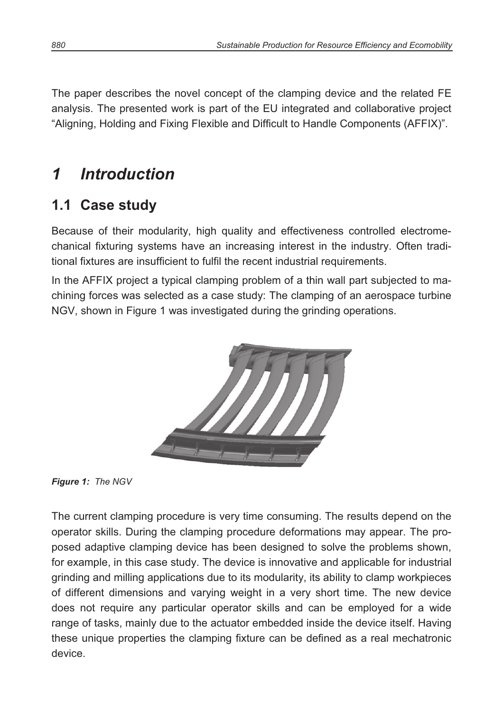The paper describes the novel concept of the clamping device and the related FE analysis. The presented work is part of the EU integrated and collaborative project "Aligning, Holding and Fixing Flexible and Difficult to Handle Components (AFFIX)".

# *1 Introduction*

## **1.1 Case study**

Because of their modularity, high quality and effectiveness controlled electromechanical fixturing systems have an increasing interest in the industry. Often traditional fixtures are insufficient to fulfil the recent industrial requirements.

In the AFFIX project a typical clamping problem of a thin wall part subjected to machining forces was selected as a case study: The clamping of an aerospace turbine NGV, shown in Figure 1 was investigated during the grinding operations.



*Figure 1: The NGV* 

The current clamping procedure is very time consuming. The results depend on the operator skills. During the clamping procedure deformations may appear. The proposed adaptive clamping device has been designed to solve the problems shown, for example, in this case study. The device is innovative and applicable for industrial grinding and milling applications due to its modularity, its ability to clamp workpieces of different dimensions and varying weight in a very short time. The new device does not require any particular operator skills and can be employed for a wide range of tasks, mainly due to the actuator embedded inside the device itself. Having these unique properties the clamping fixture can be defined as a real mechatronic device.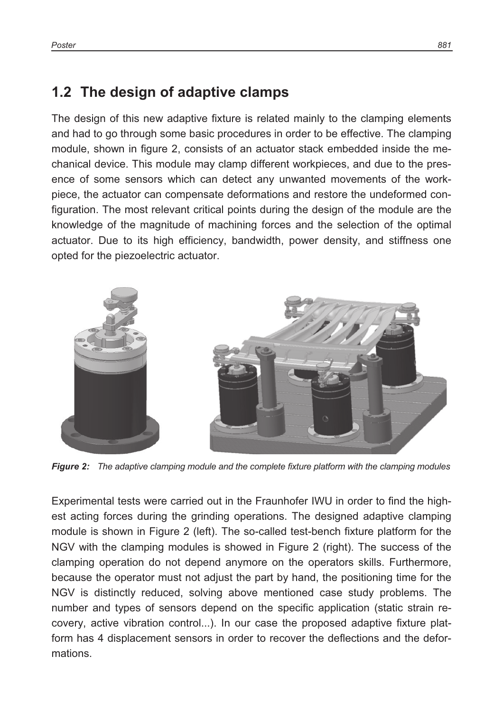#### **1.2 The design of adaptive clamps**

The design of this new adaptive fixture is related mainly to the clamping elements and had to go through some basic procedures in order to be effective. The clamping module, shown in figure 2, consists of an actuator stack embedded inside the mechanical device. This module may clamp different workpieces, and due to the presence of some sensors which can detect any unwanted movements of the workpiece, the actuator can compensate deformations and restore the undeformed configuration. The most relevant critical points during the design of the module are the knowledge of the magnitude of machining forces and the selection of the optimal actuator. Due to its high efficiency, bandwidth, power density, and stiffness one opted for the piezoelectric actuator.



*Figure 2: The adaptive clamping module and the complete fixture platform with the clamping modules* 

Experimental tests were carried out in the Fraunhofer IWU in order to find the highest acting forces during the grinding operations. The designed adaptive clamping module is shown in Figure 2 (left). The so-called test-bench fixture platform for the NGV with the clamping modules is showed in Figure 2 (right). The success of the clamping operation do not depend anymore on the operators skills. Furthermore, because the operator must not adjust the part by hand, the positioning time for the NGV is distinctly reduced, solving above mentioned case study problems. The number and types of sensors depend on the specific application (static strain recovery, active vibration control...). In our case the proposed adaptive fixture platform has 4 displacement sensors in order to recover the deflections and the deformations.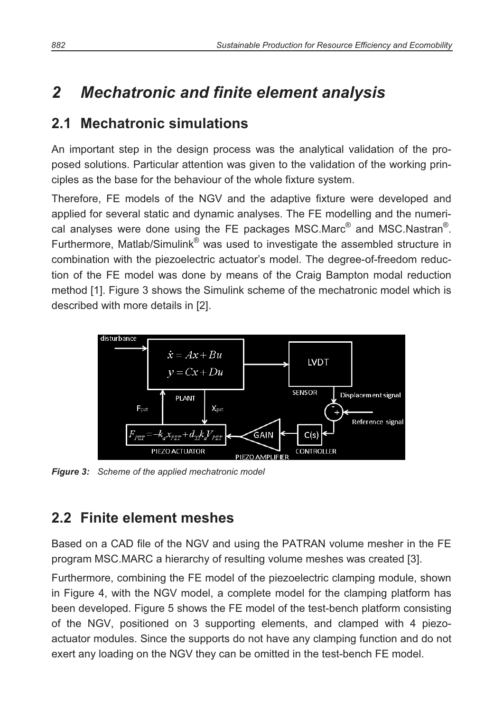# *2 Mechatronic and finite element analysis*

### **2.1 Mechatronic simulations**

An important step in the design process was the analytical validation of the proposed solutions. Particular attention was given to the validation of the working principles as the base for the behaviour of the whole fixture system.

Therefore, FE models of the NGV and the adaptive fixture were developed and applied for several static and dynamic analyses. The FE modelling and the numerical analyses were done using the FE packages MSC.Marc $^{\circledR}$  and MSC.Nastran $^{\circledR}$ . Furthermore, Matlab/Simulink® was used to investigate the assembled structure in combination with the piezoelectric actuator's model. The degree-of-freedom reduction of the FE model was done by means of the Craig Bampton modal reduction method [1]. Figure 3 shows the Simulink scheme of the mechatronic model which is described with more details in [2].



*Figure 3: Scheme of the applied mechatronic model* 

## **2.2 Finite element meshes**

Based on a CAD file of the NGV and using the PATRAN volume mesher in the FE program MSC.MARC a hierarchy of resulting volume meshes was created [3].

Furthermore, combining the FE model of the piezoelectric clamping module, shown in Figure 4, with the NGV model, a complete model for the clamping platform has been developed. Figure 5 shows the FE model of the test-bench platform consisting of the NGV, positioned on 3 supporting elements, and clamped with 4 piezoactuator modules. Since the supports do not have any clamping function and do not exert any loading on the NGV they can be omitted in the test-bench FE model.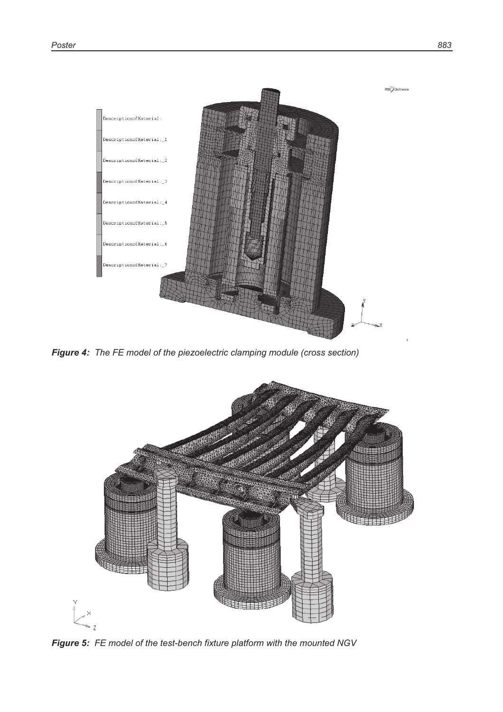

*Figure 4: The FE model of the piezoelectric clamping module (cross section)* 



*Figure 5: FE model of the test-bench fixture platform with the mounted NGV*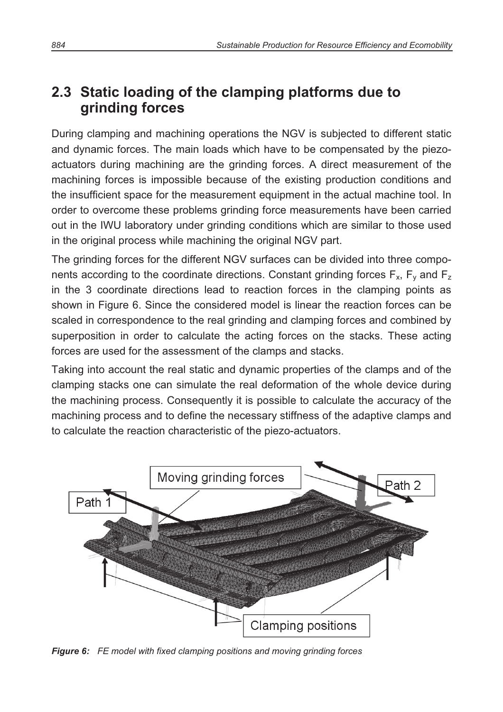### **2.3 Static loading of the clamping platforms due to grinding forces**

During clamping and machining operations the NGV is subjected to different static and dynamic forces. The main loads which have to be compensated by the piezoactuators during machining are the grinding forces. A direct measurement of the machining forces is impossible because of the existing production conditions and the insufficient space for the measurement equipment in the actual machine tool. In order to overcome these problems grinding force measurements have been carried out in the IWU laboratory under grinding conditions which are similar to those used in the original process while machining the original NGV part.

The grinding forces for the different NGV surfaces can be divided into three components according to the coordinate directions. Constant grinding forces  $F_x$ ,  $F_y$  and  $F_z$ in the 3 coordinate directions lead to reaction forces in the clamping points as shown in Figure 6. Since the considered model is linear the reaction forces can be scaled in correspondence to the real grinding and clamping forces and combined by superposition in order to calculate the acting forces on the stacks. These acting forces are used for the assessment of the clamps and stacks.

Taking into account the real static and dynamic properties of the clamps and of the clamping stacks one can simulate the real deformation of the whole device during the machining process. Consequently it is possible to calculate the accuracy of the machining process and to define the necessary stiffness of the adaptive clamps and to calculate the reaction characteristic of the piezo-actuators.



*Figure 6: FE model with fixed clamping positions and moving grinding forces*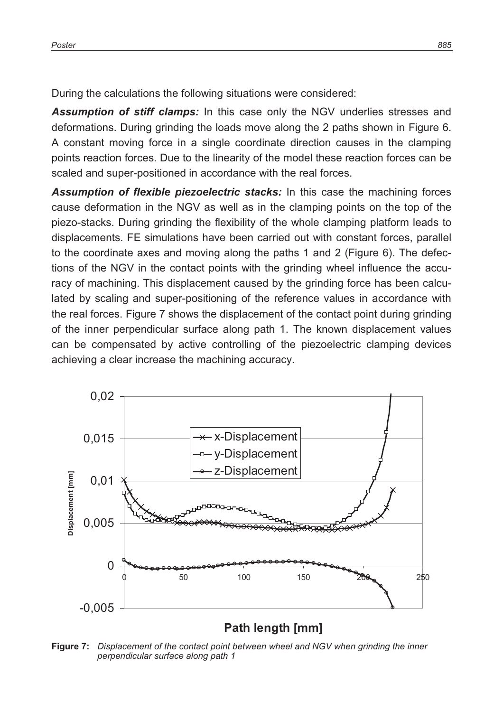During the calculations the following situations were considered:

*Assumption of stiff clamps:* In this case only the NGV underlies stresses and deformations. During grinding the loads move along the 2 paths shown in Figure 6. A constant moving force in a single coordinate direction causes in the clamping points reaction forces. Due to the linearity of the model these reaction forces can be scaled and super-positioned in accordance with the real forces.

*Assumption of flexible piezoelectric stacks:* In this case the machining forces cause deformation in the NGV as well as in the clamping points on the top of the piezo-stacks. During grinding the flexibility of the whole clamping platform leads to displacements. FE simulations have been carried out with constant forces, parallel to the coordinate axes and moving along the paths 1 and 2 (Figure 6). The defections of the NGV in the contact points with the grinding wheel influence the accuracy of machining. This displacement caused by the grinding force has been calculated by scaling and super-positioning of the reference values in accordance with the real forces. Figure 7 shows the displacement of the contact point during grinding of the inner perpendicular surface along path 1. The known displacement values can be compensated by active controlling of the piezoelectric clamping devices achieving a clear increase the machining accuracy.



#### **Path length [mm]**

**Figure 7:** *Displacement of the contact point between wheel and NGV when grinding the inner perpendicular surface along path 1*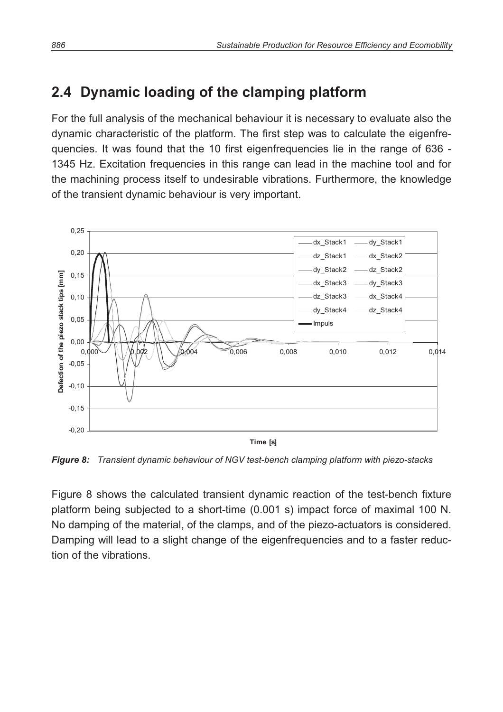### **2.4 Dynamic loading of the clamping platform**

For the full analysis of the mechanical behaviour it is necessary to evaluate also the dynamic characteristic of the platform. The first step was to calculate the eigenfrequencies. It was found that the 10 first eigenfrequencies lie in the range of 636 - 1345 Hz. Excitation frequencies in this range can lead in the machine tool and for the machining process itself to undesirable vibrations. Furthermore, the knowledge of the transient dynamic behaviour is very important.



**Time [s]**

*Figure 8: Transient dynamic behaviour of NGV test-bench clamping platform with piezo-stacks* 

Figure 8 shows the calculated transient dynamic reaction of the test-bench fixture platform being subjected to a short-time (0.001 s) impact force of maximal 100 N. No damping of the material, of the clamps, and of the piezo-actuators is considered. Damping will lead to a slight change of the eigenfrequencies and to a faster reduction of the vibrations.